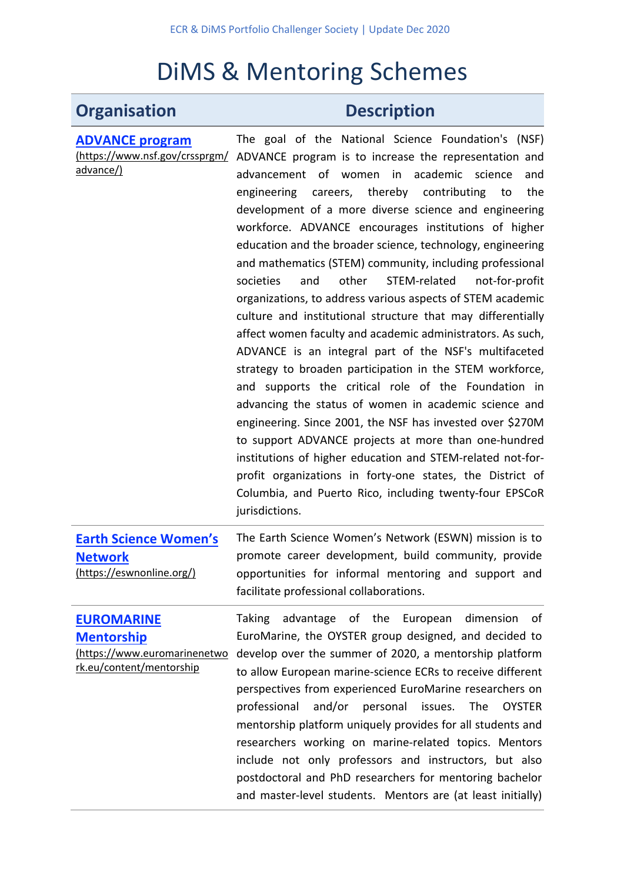## DiMS & Mentoring Schemes

## **Organisation Description**

| <b>ADVANCE program</b>                                                                             | The goal of the National Science Foundation's (NSF)                                                                                                                                                                                                                                                                                                                                                                                                                                                                                                                                                                                                                                                                                                                                                                                                                                                                                                                                                                                                                                                                                                                                 |
|----------------------------------------------------------------------------------------------------|-------------------------------------------------------------------------------------------------------------------------------------------------------------------------------------------------------------------------------------------------------------------------------------------------------------------------------------------------------------------------------------------------------------------------------------------------------------------------------------------------------------------------------------------------------------------------------------------------------------------------------------------------------------------------------------------------------------------------------------------------------------------------------------------------------------------------------------------------------------------------------------------------------------------------------------------------------------------------------------------------------------------------------------------------------------------------------------------------------------------------------------------------------------------------------------|
| (https://www.nsf.gov/crssprgm/                                                                     | ADVANCE program is to increase the representation and                                                                                                                                                                                                                                                                                                                                                                                                                                                                                                                                                                                                                                                                                                                                                                                                                                                                                                                                                                                                                                                                                                                               |
| advance/)                                                                                          | advancement of women in academic science<br>and<br>careers, thereby contributing<br>engineering<br>the<br>to<br>development of a more diverse science and engineering<br>workforce. ADVANCE encourages institutions of higher<br>education and the broader science, technology, engineering<br>and mathematics (STEM) community, including professional<br>STEM-related<br>societies<br>and<br>other<br>not-for-profit<br>organizations, to address various aspects of STEM academic<br>culture and institutional structure that may differentially<br>affect women faculty and academic administrators. As such,<br>ADVANCE is an integral part of the NSF's multifaceted<br>strategy to broaden participation in the STEM workforce,<br>and supports the critical role of the Foundation in<br>advancing the status of women in academic science and<br>engineering. Since 2001, the NSF has invested over \$270M<br>to support ADVANCE projects at more than one-hundred<br>institutions of higher education and STEM-related not-for-<br>profit organizations in forty-one states, the District of<br>Columbia, and Puerto Rico, including twenty-four EPSCoR<br>jurisdictions. |
| <b>Earth Science Women's</b><br><b>Network</b><br>(https://eswnonline.org/)                        | The Earth Science Women's Network (ESWN) mission is to<br>promote career development, build community, provide<br>opportunities for informal mentoring and support and<br>facilitate professional collaborations.                                                                                                                                                                                                                                                                                                                                                                                                                                                                                                                                                                                                                                                                                                                                                                                                                                                                                                                                                                   |
| <b>EUROMARINE</b><br><b>Mentorship</b><br>(https://www.euromarinenetwo<br>rk.eu/content/mentorship | <b>Taking</b><br>advantage of the<br>dimension<br>οf<br>European<br>EuroMarine, the OYSTER group designed, and decided to<br>develop over the summer of 2020, a mentorship platform<br>to allow European marine-science ECRs to receive different<br>perspectives from experienced EuroMarine researchers on<br>and/or<br>professional<br>personal<br>issues.<br>The<br><b>OYSTER</b><br>mentorship platform uniquely provides for all students and<br>researchers working on marine-related topics. Mentors<br>include not only professors and instructors, but also<br>postdoctoral and PhD researchers for mentoring bachelor<br>and master-level students. Mentors are (at least initially)                                                                                                                                                                                                                                                                                                                                                                                                                                                                                     |